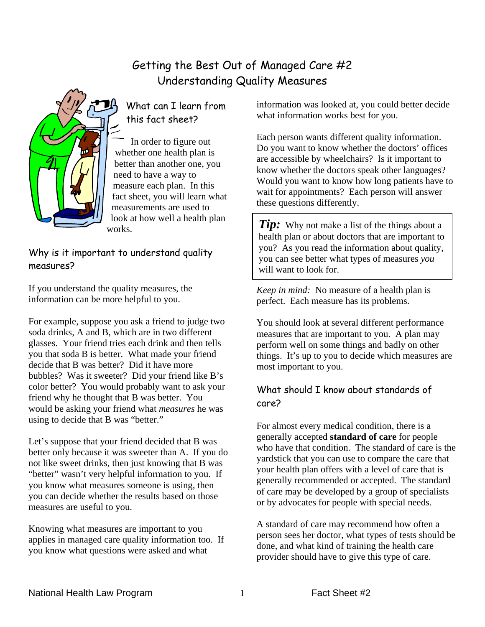# Getting the Best Out of Managed Care #2 Understanding Quality Measures



# What can I learn from this fact sheet?

In order to figure out whether one health plan is better than another one, you need to have a way to measure each plan. In this fact sheet, you will learn what measurements are used to look at how well a health plan works.

#### Why is it important to understand quality measures?

If you understand the quality measures, the information can be more helpful to you.

For example, suppose you ask a friend to judge two soda drinks, A and B, which are in two different glasses. Your friend tries each drink and then tells you that soda B is better. What made your friend decide that B was better? Did it have more bubbles? Was it sweeter? Did your friend like B's color better? You would probably want to ask your friend why he thought that B was better. You would be asking your friend what *measures* he was using to decide that B was "better."

Let's suppose that your friend decided that B was better only because it was sweeter than A. If you do not like sweet drinks, then just knowing that B was "better" wasn't very helpful information to you. If you know what measures someone is using, then you can decide whether the results based on those measures are useful to you.

Knowing what measures are important to you applies in managed care quality information too. If you know what questions were asked and what

information was looked at, you could better decide what information works best for you.

Each person wants different quality information. Do you want to know whether the doctors' offices are accessible by wheelchairs? Is it important to know whether the doctors speak other languages? Would you want to know how long patients have to wait for appointments? Each person will answer these questions differently.

**Tip:** Why not make a list of the things about a health plan or about doctors that are important to you? As you read the information about quality, you can see better what types of measures *you* will want to look for.

*Keep in mind:* No measure of a health plan is perfect. Each measure has its problems.

You should look at several different performance measures that are important to you. A plan may perform well on some things and badly on other things. It's up to you to decide which measures are most important to you.

## What should I know about standards of care?

For almost every medical condition, there is a generally accepted **standard of care** for people who have that condition. The standard of care is the yardstick that you can use to compare the care that your health plan offers with a level of care that is generally recommended or accepted. The standard of care may be developed by a group of specialists or by advocates for people with special needs.

A standard of care may recommend how often a person sees her doctor, what types of tests should be done, and what kind of training the health care provider should have to give this type of care.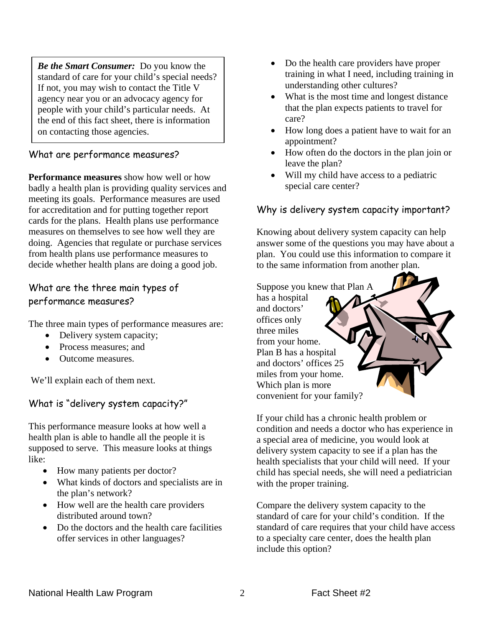*Be the Smart Consumer:* Do you know the standard of care for your child's special needs? If not, you may wish to contact the Title V agency near you or an advocacy agency for people with your child's particular needs. At the end of this fact sheet, there is information on contacting those agencies.

#### What are performance measures?

**Performance measures** show how well or how badly a health plan is providing quality services and meeting its goals. Performance measures are used for accreditation and for putting together report cards for the plans. Health plans use performance measures on themselves to see how well they are doing. Agencies that regulate or purchase services from health plans use performance measures to decide whether health plans are doing a good job.

#### What are the three main types of performance measures?

The three main types of performance measures are:

- Delivery system capacity;
- Process measures; and
- Outcome measures.

We'll explain each of them next.

#### What is "delivery system capacity?"

This performance measure looks at how well a health plan is able to handle all the people it is supposed to serve. This measure looks at things like:

- How many patients per doctor?
- What kinds of doctors and specialists are in the plan's network?
- How well are the health care providers distributed around town?
- Do the doctors and the health care facilities offer services in other languages?
- Do the health care providers have proper training in what I need, including training in understanding other cultures?
- What is the most time and longest distance that the plan expects patients to travel for care?
- How long does a patient have to wait for an appointment?
- How often do the doctors in the plan join or leave the plan?
- Will my child have access to a pediatric special care center?

#### Why is delivery system capacity important?

Knowing about delivery system capacity can help answer some of the questions you may have about a plan. You could use this information to compare it to the same information from another plan.



If your child has a chronic health problem or condition and needs a doctor who has experience in a special area of medicine, you would look at delivery system capacity to see if a plan has the health specialists that your child will need. If your child has special needs, she will need a pediatrician with the proper training.

Compare the delivery system capacity to the standard of care for your child's condition. If the standard of care requires that your child have access to a specialty care center, does the health plan include this option?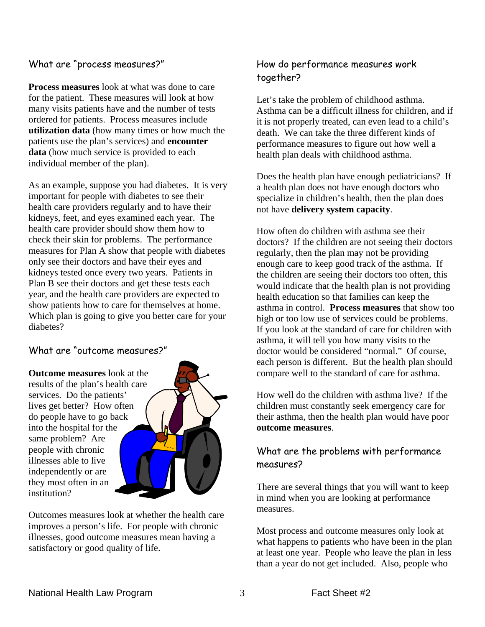#### What are "process measures?"

**Process measures** look at what was done to care for the patient. These measures will look at how many visits patients have and the number of tests ordered for patients. Process measures include **utilization data** (how many times or how much the patients use the plan's services) and **encounter data** (how much service is provided to each individual member of the plan).

As an example, suppose you had diabetes. It is very important for people with diabetes to see their health care providers regularly and to have their kidneys, feet, and eyes examined each year. The health care provider should show them how to check their skin for problems. The performance measures for Plan A show that people with diabetes only see their doctors and have their eyes and kidneys tested once every two years. Patients in Plan B see their doctors and get these tests each year, and the health care providers are expected to show patients how to care for themselves at home. Which plan is going to give you better care for your diabetes?

#### What are "outcome measures?"

**Outcome measures** look at the results of the plan's health care services. Do the patients' lives get better? How often do people have to go back into the hospital for the same problem? Are people with chronic illnesses able to live independently or are they most often in an institution?



Outcomes measures look at whether the health care improves a person's life. For people with chronic illnesses, good outcome measures mean having a satisfactory or good quality of life.

#### How do performance measures work together?

Let's take the problem of childhood asthma. Asthma can be a difficult illness for children, and if it is not properly treated, can even lead to a child's death. We can take the three different kinds of performance measures to figure out how well a health plan deals with childhood asthma.

Does the health plan have enough pediatricians? If a health plan does not have enough doctors who specialize in children's health, then the plan does not have **delivery system capacity**.

How often do children with asthma see their doctors? If the children are not seeing their doctors regularly, then the plan may not be providing enough care to keep good track of the asthma. If the children are seeing their doctors too often, this would indicate that the health plan is not providing health education so that families can keep the asthma in control. **Process measures** that show too high or too low use of services could be problems. If you look at the standard of care for children with asthma, it will tell you how many visits to the doctor would be considered "normal." Of course, each person is different. But the health plan should compare well to the standard of care for asthma.

How well do the children with asthma live? If the children must constantly seek emergency care for their asthma, then the health plan would have poor **outcome measures**.

## What are the problems with performance measures?

There are several things that you will want to keep in mind when you are looking at performance measures.

Most process and outcome measures only look at what happens to patients who have been in the plan at least one year. People who leave the plan in less than a year do not get included. Also, people who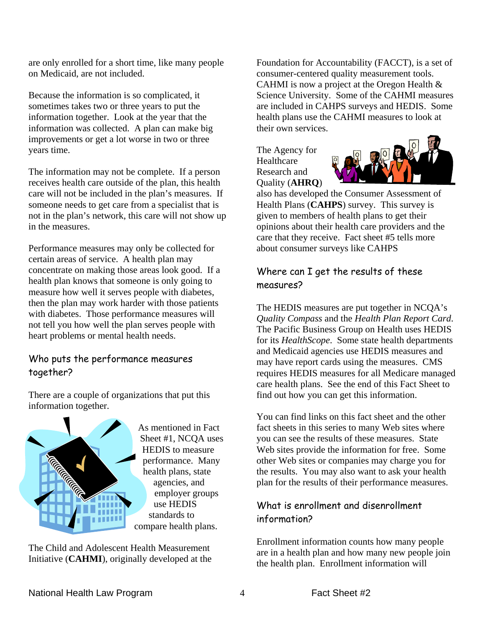are only enrolled for a short time, like many people on Medicaid, are not included.

Because the information is so complicated, it sometimes takes two or three years to put the information together. Look at the year that the information was collected. A plan can make big improvements or get a lot worse in two or three years time.

The information may not be complete. If a person receives health care outside of the plan, this health care will not be included in the plan's measures. If someone needs to get care from a specialist that is not in the plan's network, this care will not show up in the measures.

Performance measures may only be collected for certain areas of service. A health plan may concentrate on making those areas look good. If a health plan knows that someone is only going to measure how well it serves people with diabetes, then the plan may work harder with those patients with diabetes. Those performance measures will not tell you how well the plan serves people with heart problems or mental health needs.

#### Who puts the performance measures together?

There are a couple of organizations that put this information together.



The Child and Adolescent Health Measurement Initiative (**CAHMI**), originally developed at the

Foundation for Accountability (FACCT), is a set of consumer-centered quality measurement tools. CAHMI is now a project at the Oregon Health & Science University. Some of the CAHMI measures are included in CAHPS surveys and HEDIS. Some health plans use the CAHMI measures to look at their own services.

The Agency for Healthcare Research and Quality (**AHRQ**)



also has developed the Consumer Assessment of Health Plans (**CAHPS**) survey. This survey is given to members of health plans to get their opinions about their health care providers and the care that they receive. Fact sheet #5 tells more about consumer surveys like CAHPS

#### Where can I get the results of these measures?

The HEDIS measures are put together in NCQA's *Quality Compass* and the *Health Plan Report Card*. The Pacific Business Group on Health uses HEDIS for its *HealthScope*. Some state health departments and Medicaid agencies use HEDIS measures and may have report cards using the measures. CMS requires HEDIS measures for all Medicare managed care health plans. See the end of this Fact Sheet to find out how you can get this information.

You can find links on this fact sheet and the other fact sheets in this series to many Web sites where you can see the results of these measures. State Web sites provide the information for free. Some other Web sites or companies may charge you for the results. You may also want to ask your health plan for the results of their performance measures.

## What is enrollment and disenrollment information?

Enrollment information counts how many people are in a health plan and how many new people join the health plan. Enrollment information will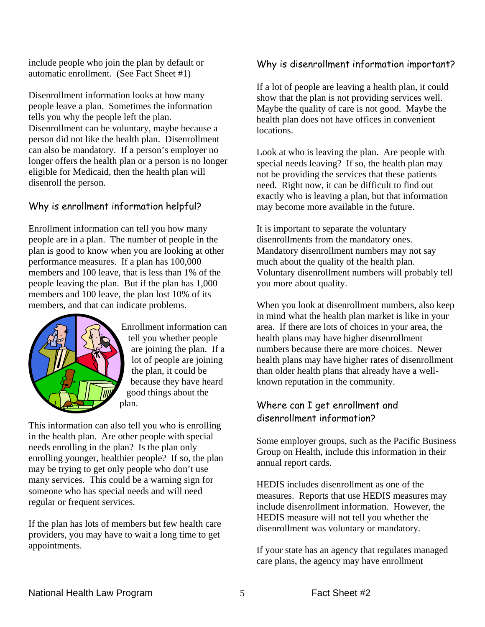include people who join the plan by default or automatic enrollment. (See Fact Sheet #1)

Disenrollment information looks at how many people leave a plan. Sometimes the information tells you why the people left the plan. Disenrollment can be voluntary, maybe because a person did not like the health plan. Disenrollment can also be mandatory. If a person's employer no longer offers the health plan or a person is no longer eligible for Medicaid, then the health plan will disenroll the person.

#### Why is enrollment information helpful?

Enrollment information can tell you how many people are in a plan. The number of people in the plan is good to know when you are looking at other performance measures. If a plan has 100,000 members and 100 leave, that is less than 1% of the people leaving the plan. But if the plan has 1,000 members and 100 leave, the plan lost 10% of its members, and that can indicate problems.



Enrollment information can tell you whether people are joining the plan. If a lot of people are joining the plan, it could be because they have heard good things about the plan.

This information can also tell you who is enrolling in the health plan. Are other people with special needs enrolling in the plan? Is the plan only enrolling younger, healthier people? If so, the plan may be trying to get only people who don't use many services. This could be a warning sign for someone who has special needs and will need regular or frequent services.

If the plan has lots of members but few health care providers, you may have to wait a long time to get appointments.

#### Why is disenrollment information important?

If a lot of people are leaving a health plan, it could show that the plan is not providing services well. Maybe the quality of care is not good. Maybe the health plan does not have offices in convenient locations.

Look at who is leaving the plan. Are people with special needs leaving? If so, the health plan may not be providing the services that these patients need. Right now, it can be difficult to find out exactly who is leaving a plan, but that information may become more available in the future.

It is important to separate the voluntary disenrollments from the mandatory ones. Mandatory disenrollment numbers may not say much about the quality of the health plan. Voluntary disenrollment numbers will probably tell you more about quality.

When you look at disenrollment numbers, also keep in mind what the health plan market is like in your area. If there are lots of choices in your area, the health plans may have higher disenrollment numbers because there are more choices. Newer health plans may have higher rates of disenrollment than older health plans that already have a wellknown reputation in the community.

#### Where can I get enrollment and disenrollment information?

Some employer groups, such as the Pacific Business Group on Health, include this information in their annual report cards.

HEDIS includes disenrollment as one of the measures. Reports that use HEDIS measures may include disenrollment information. However, the HEDIS measure will not tell you whether the disenrollment was voluntary or mandatory.

If your state has an agency that regulates managed care plans, the agency may have enrollment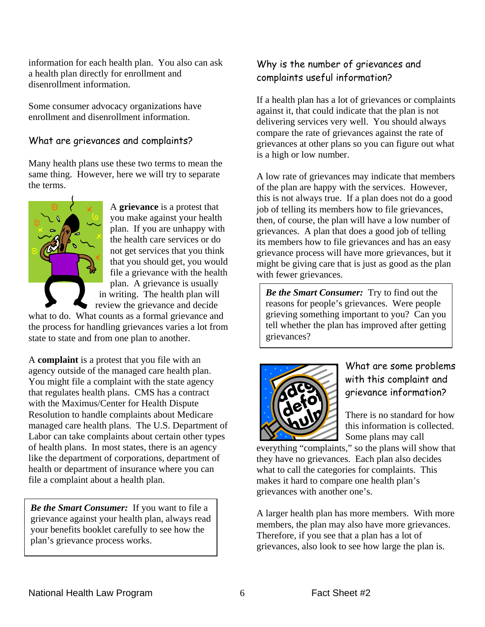information for each health plan. You also can ask a health plan directly for enrollment and disenrollment information.

Some consumer advocacy organizations have enrollment and disenrollment information.

#### What are grievances and complaints?

Many health plans use these two terms to mean the same thing. However, here we will try to separate the terms.



A **grievance** is a protest that you make against your health plan. If you are unhappy with the health care services or do not get services that you think that you should get, you would file a grievance with the health plan. A grievance is usually in writing. The health plan will review the grievance and decide

what to do. What counts as a formal grievance and the process for handling grievances varies a lot from state to state and from one plan to another.

A **complaint** is a protest that you file with an agency outside of the managed care health plan. You might file a complaint with the state agency that regulates health plans. CMS has a contract with the Maximus/Center for Health Dispute Resolution to handle complaints about Medicare managed care health plans. The U.S. Department of Labor can take complaints about certain other types of health plans. In most states, there is an agency like the department of corporations, department of health or department of insurance where you can file a complaint about a health plan.

*Be the Smart Consumer:* If you want to file a grievance against your health plan, always read your benefits booklet carefully to see how the plan's grievance process works.

## Why is the number of grievances and complaints useful information?

If a health plan has a lot of grievances or complaints against it, that could indicate that the plan is not delivering services very well. You should always compare the rate of grievances against the rate of grievances at other plans so you can figure out what is a high or low number.

A low rate of grievances may indicate that members of the plan are happy with the services. However, this is not always true. If a plan does not do a good job of telling its members how to file grievances, then, of course, the plan will have a low number of grievances. A plan that does a good job of telling its members how to file grievances and has an easy grievance process will have more grievances, but it might be giving care that is just as good as the plan with fewer grievances.

*Be the Smart Consumer:* Try to find out the reasons for people's grievances. Were people grieving something important to you? Can you tell whether the plan has improved after getting grievances?



What are some problems with this complaint and grievance information?

There is no standard for how this information is collected. Some plans may call

everything "complaints," so the plans will show that they have no grievances. Each plan also decides what to call the categories for complaints. This makes it hard to compare one health plan's grievances with another one's.

A larger health plan has more members. With more members, the plan may also have more grievances. Therefore, if you see that a plan has a lot of grievances, also look to see how large the plan is.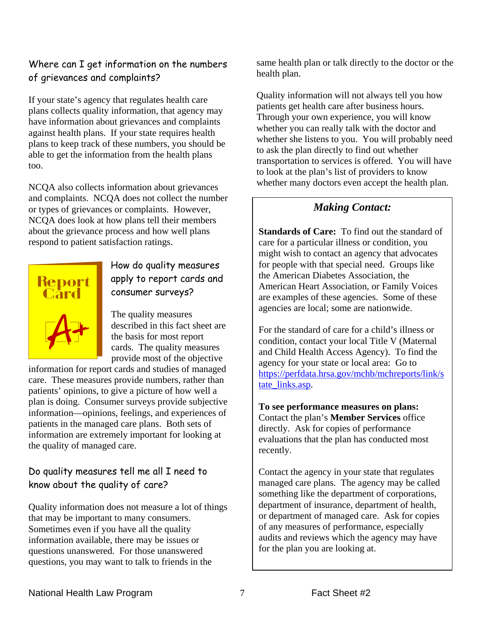#### Where can I get information on the numbers of grievances and complaints?

If your state's agency that regulates health care plans collects quality information, that agency may have information about grievances and complaints against health plans. If your state requires health plans to keep track of these numbers, you should be able to get the information from the health plans too.

NCQA also collects information about grievances and complaints. NCQA does not collect the number or types of grievances or complaints. However, NCQA does look at how plans tell their members about the grievance process and how well plans respond to patient satisfaction ratings.



How do quality measures apply to report cards and consumer surveys?

The quality measures described in this fact sheet are the basis for most report cards. The quality measures provide most of the objective

information for report cards and studies of managed care. These measures provide numbers, rather than patients' opinions, to give a picture of how well a plan is doing. Consumer surveys provide subjective information—opinions, feelings, and experiences of patients in the managed care plans. Both sets of information are extremely important for looking at the quality of managed care.

## Do quality measures tell me all I need to know about the quality of care?

Quality information does not measure a lot of things that may be important to many consumers. Sometimes even if you have all the quality information available, there may be issues or questions unanswered. For those unanswered questions, you may want to talk to friends in the

same health plan or talk directly to the doctor or the health plan.

Quality information will not always tell you how patients get health care after business hours. Through your own experience, you will know whether you can really talk with the doctor and whether she listens to you. You will probably need to ask the plan directly to find out whether transportation to services is offered. You will have to look at the plan's list of providers to know whether many doctors even accept the health plan.

## *Making Contact:*

**Standards of Care:** To find out the standard of care for a particular illness or condition, you might wish to contact an agency that advocates for people with that special need. Groups like the American Diabetes Association, the American Heart Association, or Family Voices are examples of these agencies. Some of these agencies are local; some are nationwide.

For the standard of care for a child's illness or condition, contact your local Title V (Maternal and Child Health Access Agency). To find the agency for your state or local area: Go to https://perfdata.hrsa.gov/mchb/mchreports/link/s tate\_links.asp.

**To see performance measures on plans:** Contact the plan's **Member Services** office directly. Ask for copies of performance evaluations that the plan has conducted most recently.

Contact the agency in your state that regulates managed care plans. The agency may be called something like the department of corporations, department of insurance, department of health, or department of managed care. Ask for copies of any measures of performance, especially audits and reviews which the agency may have for the plan you are looking at.